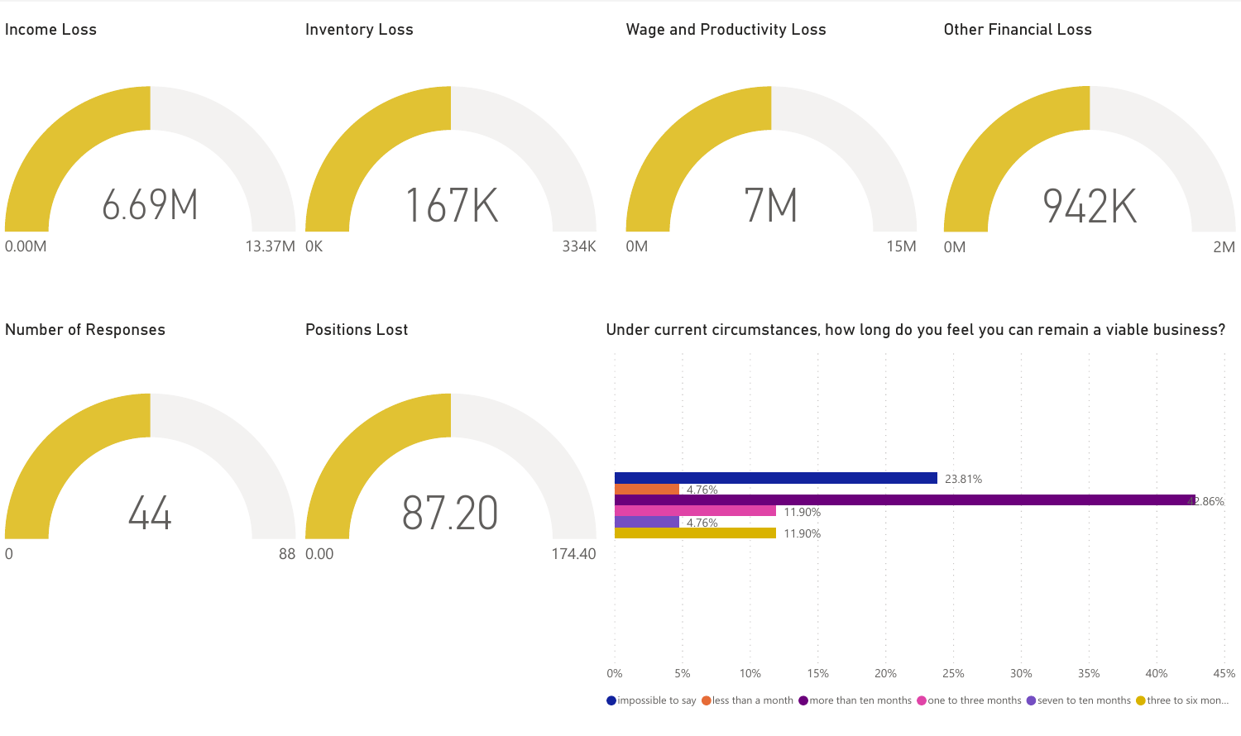

 $\bullet$  impossible to say  $\bullet$  less than a month  $\bullet$  more than ten months  $\bullet$  one to three months  $\bullet$  seven to ten months  $\bullet$  three to six mon...